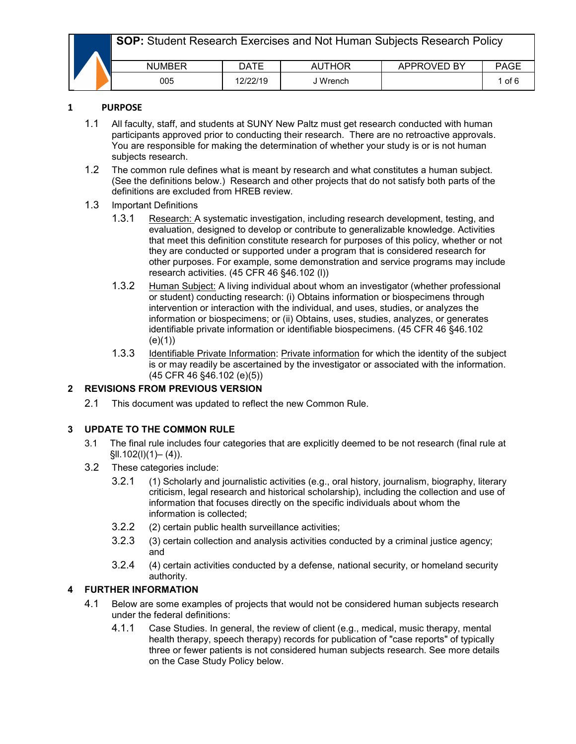|  | <b>SOP:</b> Student Research Exercises and Not Human Subjects Research Policy |             |          |             |             |  |  |
|--|-------------------------------------------------------------------------------|-------------|----------|-------------|-------------|--|--|
|  | <b>NUMBER</b>                                                                 | <b>DATE</b> | AUTHOR   | APPROVED BY | <b>PAGE</b> |  |  |
|  | 005                                                                           | 12/22/19    | J Wrench |             | 1 of 6      |  |  |

#### **1 PURPOSE**

- 1.1 All faculty, staff, and students at SUNY New Paltz must get research conducted with human participants approved prior to conducting their research. There are no retroactive approvals. You are responsible for making the determination of whether your study is or is not human subjects research.
- 1.2 The common rule defines what is meant by research and what constitutes a human subject. (See the definitions below.) Research and other projects that do not satisfy both parts of the definitions are excluded from HREB review.

#### 1.3 Important Definitions

- 1.3.1 Research: A systematic investigation, including research development, testing, and evaluation, designed to develop or contribute to generalizable knowledge. Activities that meet this definition constitute research for purposes of this policy, whether or not they are conducted or supported under a program that is considered research for other purposes. For example, some demonstration and service programs may include research activities. (45 CFR 46 §46.102 (l))
- 1.3.2 Human Subject: A living individual about whom an investigator (whether professional or student) conducting research: (i) Obtains information or biospecimens through intervention or interaction with the individual, and uses, studies, or analyzes the information or biospecimens; or (ii) Obtains, uses, studies, analyzes, or generates identifiable private information or identifiable biospecimens. (45 CFR 46 §46.102  $(e)(1)$
- 1.3.3 Identifiable Private Information: Private information for which the identity of the subject is or may readily be ascertained by the investigator or associated with the information. (45 CFR 46 §46.102 (e)(5))

# **2 REVISIONS FROM PREVIOUS VERSION**

2.1 This document was updated to reflect the new Common Rule.

## **3 UPDATE TO THE COMMON RULE**

- 3.1 The final rule includes four categories that are explicitly deemed to be not research (final rule at §ll.102(l)(1)– (4)).
- 3.2 These categories include:
	- 3.2.1 (1) Scholarly and journalistic activities (e.g., oral history, journalism, biography, literary criticism, legal research and historical scholarship), including the collection and use of information that focuses directly on the specific individuals about whom the information is collected;
	- 3.2.2 (2) certain public health surveillance activities;
	- 3.2.3 (3) certain collection and analysis activities conducted by a criminal justice agency; and
	- 3.2.4 (4) certain activities conducted by a defense, national security, or homeland security authority.

## **4 FURTHER INFORMATION**

- 4.1 Below are some examples of projects that would not be considered human subjects research under the federal definitions:
	- 4.1.1 Case Studies. In general, the review of client (e.g., medical, music therapy, mental health therapy, speech therapy) records for publication of "case reports" of typically three or fewer patients is not considered human subjects research. See more details on the Case Study Policy below.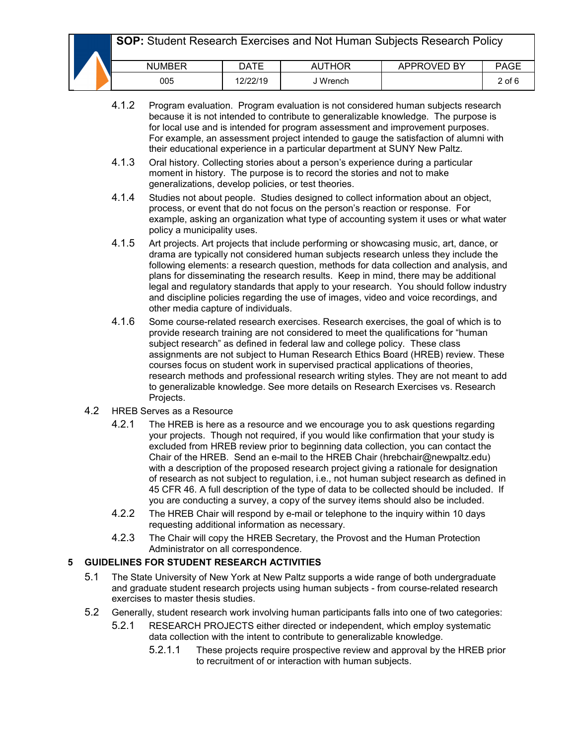**SOP:** Student Research Exercises and Not Human Subjects Research Policy

|  | <b>NUMBER</b> | DATE     | <b>AUTHOR</b> | <b>APPROVED BY</b> | PAGE   |
|--|---------------|----------|---------------|--------------------|--------|
|  | 005           | 12/22/19 | J Wrench      |                    | 2 of 6 |

- 4.1.2 Program evaluation. Program evaluation is not considered human subjects research because it is not intended to contribute to generalizable knowledge. The purpose is for local use and is intended for program assessment and improvement purposes. For example, an assessment project intended to gauge the satisfaction of alumni with their educational experience in a particular department at SUNY New Paltz.
- 4.1.3 Oral history. Collecting stories about a person's experience during a particular moment in history. The purpose is to record the stories and not to make generalizations, develop policies, or test theories.
- 4.1.4 Studies not about people. Studies designed to collect information about an object, process, or event that do not focus on the person's reaction or response. For example, asking an organization what type of accounting system it uses or what water policy a municipality uses.
- 4.1.5 Art projects. Art projects that include performing or showcasing music, art, dance, or drama are typically not considered human subjects research unless they include the following elements: a research question, methods for data collection and analysis, and plans for disseminating the research results. Keep in mind, there may be additional legal and regulatory standards that apply to your research. You should follow industry and discipline policies regarding the use of images, video and voice recordings, and other media capture of individuals.
- 4.1.6 Some course-related research exercises. Research exercises, the goal of which is to provide research training are not considered to meet the qualifications for "human subject research" as defined in federal law and college policy. These class assignments are not subject to Human Research Ethics Board (HREB) review. These courses focus on student work in supervised practical applications of theories, research methods and professional research writing styles. They are not meant to add to generalizable knowledge. See more details on Research Exercises vs. Research Projects.
- 4.2 HREB Serves as a Resource
	- 4.2.1 The HREB is here as a resource and we encourage you to ask questions regarding your projects. Though not required, if you would like confirmation that your study is excluded from HREB review prior to beginning data collection, you can contact the Chair of the HREB. Send an e-mail to the HREB Chair (hrebchair@newpaltz.edu) with a description of the proposed research project giving a rationale for designation of research as not subject to regulation, i.e., not human subject research as defined in 45 CFR 46. A full description of the type of data to be collected should be included. If you are conducting a survey, a copy of the survey items should also be included.
	- 4.2.2 The HREB Chair will respond by e-mail or telephone to the inquiry within 10 days requesting additional information as necessary.
	- 4.2.3 The Chair will copy the HREB Secretary, the Provost and the Human Protection Administrator on all correspondence.

## **5 GUIDELINES FOR STUDENT RESEARCH ACTIVITIES**

- 5.1 The State University of New York at New Paltz supports a wide range of both undergraduate and graduate student research projects using human subjects - from course-related research exercises to master thesis studies.
- 5.2 Generally, student research work involving human participants falls into one of two categories:
	- 5.2.1 RESEARCH PROJECTS either directed or independent, which employ systematic data collection with the intent to contribute to generalizable knowledge.
		- 5.2.1.1 These projects require prospective review and approval by the HREB prior to recruitment of or interaction with human subjects.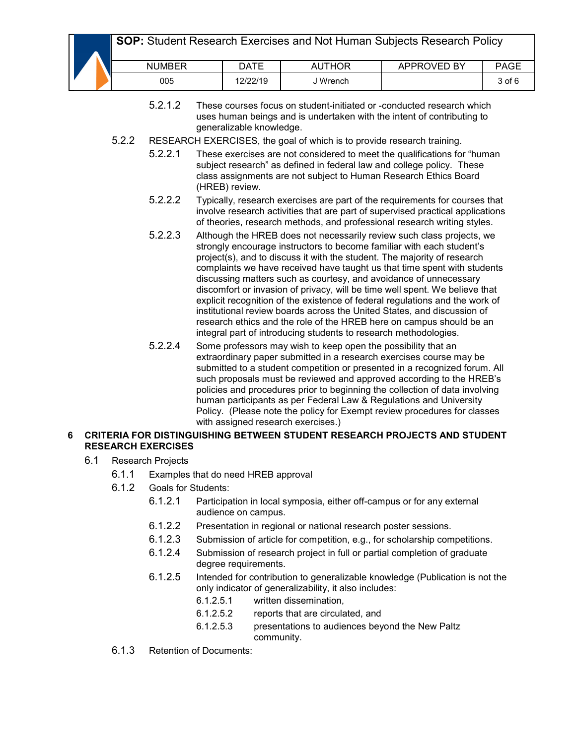# **SOP:** Student Research Exercises and Not Human Subjects Research Policy

|  | <b>NUMBER</b> | DATE     | JTHOR<br>Αι | APPROVED BY | PAGF   |
|--|---------------|----------|-------------|-------------|--------|
|  | 005           | 12/22/19 | ' Wrench    |             | 3 of 6 |

- 5.2.1.2 These courses focus on student-initiated or -conducted research which uses human beings and is undertaken with the intent of contributing to generalizable knowledge.
- 5.2.2 RESEARCH EXERCISES, the goal of which is to provide research training.
	- 5.2.2.1 These exercises are not considered to meet the qualifications for "human subject research" as defined in federal law and college policy. These class assignments are not subject to Human Research Ethics Board (HREB) review.
	- 5.2.2.2 Typically, research exercises are part of the requirements for courses that involve research activities that are part of supervised practical applications of theories, research methods, and professional research writing styles.
	- 5.2.2.3 Although the HREB does not necessarily review such class projects, we strongly encourage instructors to become familiar with each student's project(s), and to discuss it with the student. The majority of research complaints we have received have taught us that time spent with students discussing matters such as courtesy, and avoidance of unnecessary discomfort or invasion of privacy, will be time well spent. We believe that explicit recognition of the existence of federal regulations and the work of institutional review boards across the United States, and discussion of research ethics and the role of the HREB here on campus should be an integral part of introducing students to research methodologies.
	- 5.2.2.4 Some professors may wish to keep open the possibility that an extraordinary paper submitted in a research exercises course may be submitted to a student competition or presented in a recognized forum. All such proposals must be reviewed and approved according to the HREB's policies and procedures prior to beginning the collection of data involving human participants as per Federal Law & Regulations and University Policy. (Please note the policy for Exempt review procedures for classes with assigned research exercises.)

#### **6 CRITERIA FOR DISTINGUISHING BETWEEN STUDENT RESEARCH PROJECTS AND STUDENT RESEARCH EXERCISES**

- 6.1 Research Projects
	- 6.1.1 Examples that do need HREB approval
	- 6.1.2 Goals for Students:
		- 6.1.2.1 Participation in local symposia, either off-campus or for any external audience on campus.
		- 6.1.2.2 Presentation in regional or national research poster sessions.
		- 6.1.2.3 Submission of article for competition, e.g., for scholarship competitions.
		- 6.1.2.4 Submission of research project in full or partial completion of graduate degree requirements.
		- 6.1.2.5 Intended for contribution to generalizable knowledge (Publication is not the only indicator of generalizability, it also includes:
			- 6.1.2.5.1 written dissemination,
			- 6.1.2.5.2 reports that are circulated, and
			- 6.1.2.5.3 presentations to audiences beyond the New Paltz community.
	- 6.1.3 Retention of Documents: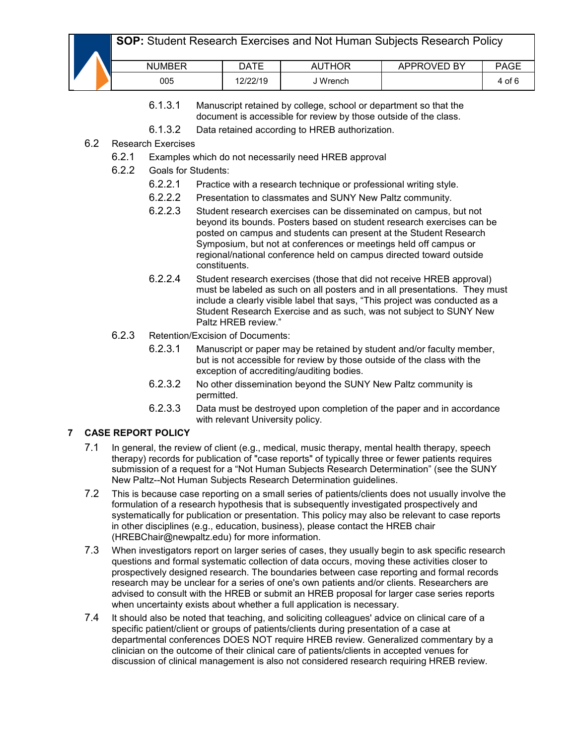|  | <b>NUMBER</b> | DATE     | <b>AUTHOR</b> | APPROVED BY | PAGE            |
|--|---------------|----------|---------------|-------------|-----------------|
|  | 005           | 12/22/19 | Wrench        |             | 4 of $\epsilon$ |

- 6.1.3.1 Manuscript retained by college, school or department so that the document is accessible for review by those outside of the class.
- 6.1.3.2 Data retained according to HREB authorization.
- 6.2 Research Exercises
	- 6.2.1 Examples which do not necessarily need HREB approval
	- 6.2.2 Goals for Students:
		- 6.2.2.1 Practice with a research technique or professional writing style.
		- 6.2.2.2 Presentation to classmates and SUNY New Paltz community.
		- 6.2.2.3 Student research exercises can be disseminated on campus, but not beyond its bounds. Posters based on student research exercises can be posted on campus and students can present at the Student Research Symposium, but not at conferences or meetings held off campus or regional/national conference held on campus directed toward outside constituents.
		- 6.2.2.4 Student research exercises (those that did not receive HREB approval) must be labeled as such on all posters and in all presentations. They must include a clearly visible label that says, "This project was conducted as a Student Research Exercise and as such, was not subject to SUNY New Paltz HREB review."
	- 6.2.3 Retention/Excision of Documents:
		- 6.2.3.1 Manuscript or paper may be retained by student and/or faculty member, but is not accessible for review by those outside of the class with the exception of accrediting/auditing bodies.
		- 6.2.3.2 No other dissemination beyond the SUNY New Paltz community is permitted.
		- 6.2.3.3 Data must be destroyed upon completion of the paper and in accordance with relevant University policy.

## **7 CASE REPORT POLICY**

- 7.1 In general, the review of client (e.g., medical, music therapy, mental health therapy, speech therapy) records for publication of "case reports" of typically three or fewer patients requires submission of a request for a "Not Human Subjects Research Determination" (see the SUNY New Paltz--Not Human Subjects Research Determination guidelines.
- 7.2 This is because case reporting on a small series of patients/clients does not usually involve the formulation of a research hypothesis that is subsequently investigated prospectively and systematically for publication or presentation. This policy may also be relevant to case reports in other disciplines (e.g., education, business), please contact the HREB chair (HREBChair@newpaltz.edu) for more information.
- 7.3 When investigators report on larger series of cases, they usually begin to ask specific research questions and formal systematic collection of data occurs, moving these activities closer to prospectively designed research. The boundaries between case reporting and formal records research may be unclear for a series of one's own patients and/or clients. Researchers are advised to consult with the HREB or submit an HREB proposal for larger case series reports when uncertainty exists about whether a full application is necessary.
- 7.4 It should also be noted that teaching, and soliciting colleagues' advice on clinical care of a specific patient/client or groups of patients/clients during presentation of a case at departmental conferences DOES NOT require HREB review. Generalized commentary by a clinician on the outcome of their clinical care of patients/clients in accepted venues for discussion of clinical management is also not considered research requiring HREB review.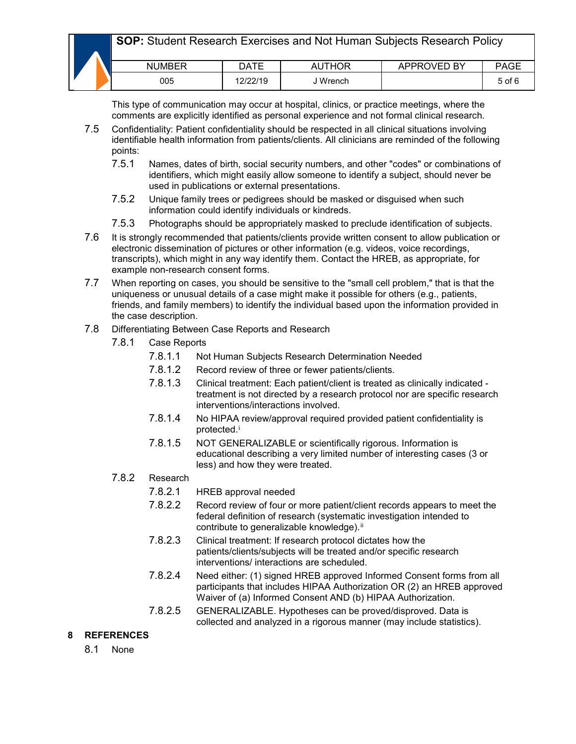|  | <b>NUMBER</b> | DATE     | <b>AUTHOR</b> | APPROVED BY | PAGE       |
|--|---------------|----------|---------------|-------------|------------|
|  | 005           | 12/22/19 | <b>Wrench</b> |             | $5$ of $6$ |

This type of communication may occur at hospital, clinics, or practice meetings, where the comments are explicitly identified as personal experience and not formal clinical research.

- 7.5 Confidentiality: Patient confidentiality should be respected in all clinical situations involving identifiable health information from patients/clients. All clinicians are reminded of the following points:
	- 7.5.1 Names, dates of birth, social security numbers, and other "codes" or combinations of identifiers, which might easily allow someone to identify a subject, should never be used in publications or external presentations.
	- 7.5.2 Unique family trees or pedigrees should be masked or disguised when such information could identify individuals or kindreds.
	- 7.5.3 Photographs should be appropriately masked to preclude identification of subjects.
- 7.6 It is strongly recommended that patients/clients provide written consent to allow publication or electronic dissemination of pictures or other information (e.g. videos, voice recordings, transcripts), which might in any way identify them. Contact the HREB, as appropriate, for example non-research consent forms.
- 7.7 When reporting on cases, you should be sensitive to the "small cell problem," that is that the uniqueness or unusual details of a case might make it possible for others (e.g., patients, friends, and family members) to identify the individual based upon the information provided in the case description.
- 7.8 Differentiating Between Case Reports and Research
	- 7.8.1 Case Reports
		- 7.8.1.1 Not Human Subjects Research Determination Needed
		- 7.8.1.2 Record review of three or fewer patients/clients.
		- 7.8.1.3 Clinical treatment: Each patient/client is treated as clinically indicated treatment is not directed by a research protocol nor are specific research interventions/interactions involved.
		- 7.8.1.4 No HIPAA review/approval required provided patient confidentiality is protected.<sup>[i](#page-5-0)</sup>
		- 7.8.1.5 NOT GENERALIZABLE or scientifically rigorous. Information is educational describing a very limited number of interesting cases (3 or less) and how they were treated.

# 7.8.2 Research

- 7.8.2.1 HREB approval needed
- 7.8.2.2 Record review of four or more patient/client records appears to meet the federal definition of research (systematic investigation intended to contribute to generalizable knowledge).<sup>[ii](#page-5-1)</sup>
- 7.8.2.3 Clinical treatment: If research protocol dictates how the patients/clients/subjects will be treated and/or specific research interventions/ interactions are scheduled.
- 7.8.2.4 Need either: (1) signed HREB approved Informed Consent forms from all participants that includes HIPAA Authorization OR (2) an HREB approved Waiver of (a) Informed Consent AND (b) HIPAA Authorization.
- 7.8.2.5 GENERALIZABLE. Hypotheses can be proved/disproved. Data is collected and analyzed in a rigorous manner (may include statistics).

## **8 REFERENCES**

8.1 None